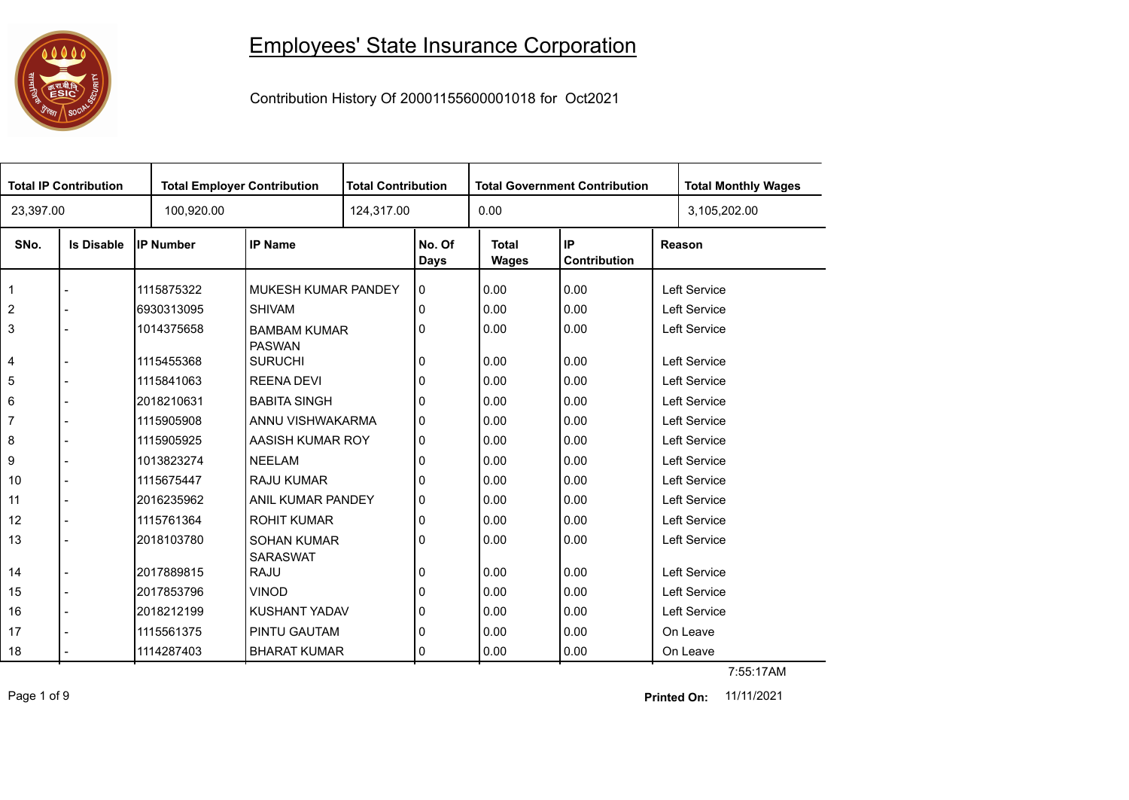

## Employees' State Insurance Corporation

Contribution History Of 20001155600001018 for Oct2021

|                | <b>Total IP Contribution</b> | <b>Total Employer Contribution</b> |                                       | <b>Total Contribution</b> |                    | <b>Total Government Contribution</b> |                           |              | <b>Total Monthly Wages</b> |
|----------------|------------------------------|------------------------------------|---------------------------------------|---------------------------|--------------------|--------------------------------------|---------------------------|--------------|----------------------------|
| 23,397.00      |                              | 100,920.00                         |                                       |                           | 124,317.00<br>0.00 |                                      |                           | 3,105,202.00 |                            |
| SNo.           | <b>Is Disable</b>            | <b>IP Number</b>                   | <b>IP Name</b>                        |                           | No. Of<br>Days     | <b>Total</b><br><b>Wages</b>         | IP<br><b>Contribution</b> |              | Reason                     |
| $\mathbf{1}$   |                              | 1115875322                         | MUKESH KUMAR PANDEY                   |                           | 0                  | 0.00                                 | 0.00                      |              | Left Service               |
| 2              |                              | 6930313095                         | <b>SHIVAM</b>                         |                           | 0                  | 0.00                                 | 0.00                      |              | Left Service               |
| 3              |                              | 1014375658                         | <b>BAMBAM KUMAR</b><br><b>PASWAN</b>  |                           | 0                  | 0.00                                 | 0.00                      |              | Left Service               |
| 4              |                              | 1115455368                         | <b>SURUCHI</b>                        |                           | 0                  | 0.00                                 | 0.00                      |              | Left Service               |
| 5              |                              | 1115841063                         | <b>REENA DEVI</b>                     |                           | 0                  | 0.00                                 | 0.00                      |              | Left Service               |
| 6              |                              | 2018210631                         | <b>BABITA SINGH</b>                   |                           | 0                  | 0.00                                 | 0.00                      |              | Left Service               |
| $\overline{7}$ |                              | 1115905908                         | ANNU VISHWAKARMA                      |                           | 0                  | 0.00                                 | 0.00                      |              | Left Service               |
| 8              |                              | 1115905925                         | AASISH KUMAR ROY                      |                           | 0                  | 0.00                                 | 0.00                      |              | Left Service               |
| 9              |                              | 1013823274                         | <b>NEELAM</b>                         |                           | 0                  | 0.00                                 | 0.00                      |              | Left Service               |
| 10             |                              | 1115675447                         | <b>RAJU KUMAR</b>                     |                           | 0                  | 0.00                                 | 0.00                      |              | Left Service               |
| 11             |                              | 2016235962                         | ANIL KUMAR PANDEY                     |                           | 0                  | 0.00                                 | 0.00                      |              | Left Service               |
| 12             |                              | 1115761364                         | <b>ROHIT KUMAR</b>                    |                           | 0                  | 0.00                                 | 0.00                      |              | Left Service               |
| 13             |                              | 2018103780                         | <b>SOHAN KUMAR</b><br><b>SARASWAT</b> |                           | 0                  | 0.00                                 | 0.00                      |              | Left Service               |
| 14             |                              | 2017889815                         | <b>RAJU</b>                           |                           | 0                  | 0.00                                 | 0.00                      |              | Left Service               |
| 15             |                              | 2017853796                         | <b>VINOD</b>                          |                           | 0                  | 0.00                                 | 0.00                      |              | <b>Left Service</b>        |
| 16             |                              | 2018212199                         | KUSHANT YADAV                         |                           | 0                  | 0.00                                 | 0.00                      |              | Left Service               |
| 17             |                              | 1115561375                         | <b>PINTU GAUTAM</b>                   |                           | 0                  | 0.00                                 | 0.00                      |              | On Leave                   |
| 18             |                              | 1114287403                         | <b>BHARAT KUMAR</b>                   |                           | 0                  | 0.00                                 | 0.00                      |              | On Leave                   |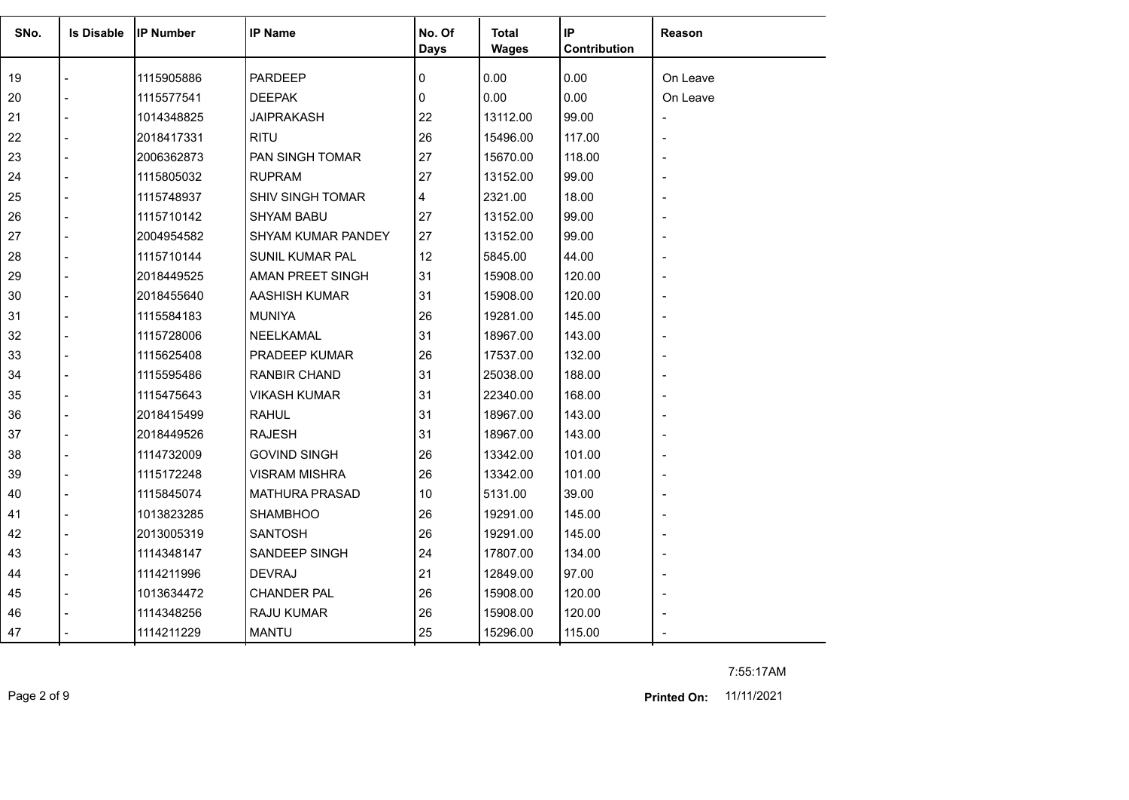| SNo. | <b>Is Disable</b> | <b>IP Number</b> | <b>IP Name</b>            | No. Of<br>Days | <b>Total</b><br><b>Wages</b> | IP<br>Contribution | Reason   |
|------|-------------------|------------------|---------------------------|----------------|------------------------------|--------------------|----------|
| 19   |                   | 1115905886       | <b>PARDEEP</b>            | 0              | 0.00                         | 0.00               | On Leave |
| 20   |                   | 1115577541       | <b>DEEPAK</b>             | 0              | 0.00                         | 0.00               | On Leave |
| 21   |                   | 1014348825       | <b>JAIPRAKASH</b>         | 22             | 13112.00                     | 99.00              |          |
| 22   |                   | 2018417331       | <b>RITU</b>               | 26             | 15496.00                     | 117.00             |          |
| 23   | $\overline{a}$    | 2006362873       | PAN SINGH TOMAR           | 27             | 15670.00                     | 118.00             |          |
| 24   |                   | 1115805032       | <b>RUPRAM</b>             | 27             | 13152.00                     | 99.00              |          |
| 25   |                   | 1115748937       | <b>SHIV SINGH TOMAR</b>   | 4              | 2321.00                      | 18.00              |          |
| 26   | $\blacksquare$    | 1115710142       | <b>SHYAM BABU</b>         | 27             | 13152.00                     | 99.00              |          |
| 27   | $\overline{a}$    | 2004954582       | <b>SHYAM KUMAR PANDEY</b> | 27             | 13152.00                     | 99.00              |          |
| 28   |                   | 1115710144       | <b>SUNIL KUMAR PAL</b>    | 12             | 5845.00                      | 44.00              |          |
| 29   | $\blacksquare$    | 2018449525       | AMAN PREET SINGH          | 31             | 15908.00                     | 120.00             |          |
| 30   |                   | 2018455640       | AASHISH KUMAR             | 31             | 15908.00                     | 120.00             |          |
| 31   |                   | 1115584183       | <b>MUNIYA</b>             | 26             | 19281.00                     | 145.00             |          |
| 32   |                   | 1115728006       | <b>NEELKAMAL</b>          | 31             | 18967.00                     | 143.00             |          |
| 33   |                   | 1115625408       | PRADEEP KUMAR             | 26             | 17537.00                     | 132.00             |          |
| 34   |                   | 1115595486       | RANBIR CHAND              | 31             | 25038.00                     | 188.00             |          |
| 35   |                   | 1115475643       | <b>VIKASH KUMAR</b>       | 31             | 22340.00                     | 168.00             |          |
| 36   |                   | 2018415499       | <b>RAHUL</b>              | 31             | 18967.00                     | 143.00             |          |
| 37   |                   | 2018449526       | <b>RAJESH</b>             | 31             | 18967.00                     | 143.00             |          |
| 38   |                   | 1114732009       | <b>GOVIND SINGH</b>       | 26             | 13342.00                     | 101.00             |          |
| 39   |                   | 1115172248       | <b>VISRAM MISHRA</b>      | 26             | 13342.00                     | 101.00             |          |
| 40   |                   | 1115845074       | <b>MATHURA PRASAD</b>     | 10             | 5131.00                      | 39.00              |          |
| 41   |                   | 1013823285       | <b>SHAMBHOO</b>           | 26             | 19291.00                     | 145.00             |          |
| 42   |                   | 2013005319       | <b>SANTOSH</b>            | 26             | 19291.00                     | 145.00             |          |
| 43   | $\blacksquare$    | 1114348147       | SANDEEP SINGH             | 24             | 17807.00                     | 134.00             |          |
| 44   |                   | 1114211996       | <b>DEVRAJ</b>             | 21             | 12849.00                     | 97.00              |          |
| 45   |                   | 1013634472       | <b>CHANDER PAL</b>        | 26             | 15908.00                     | 120.00             |          |
| 46   |                   | 1114348256       | <b>RAJU KUMAR</b>         | 26             | 15908.00                     | 120.00             |          |
| 47   |                   | 1114211229       | <b>MANTU</b>              | 25             | 15296.00                     | 115.00             |          |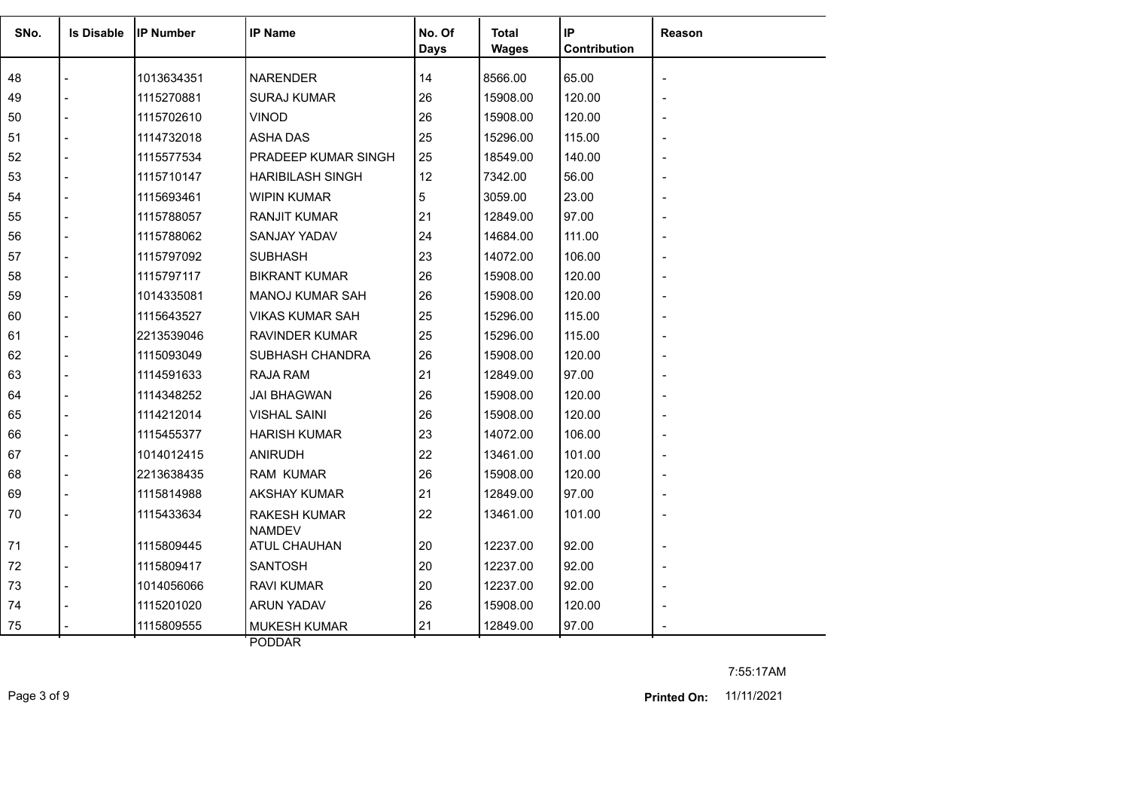| SNo. | <b>Is Disable</b> | <b>IP Number</b> | <b>IP Name</b>                       | No. Of<br><b>Days</b> | Total<br><b>Wages</b> | IP<br>Contribution | <b>Reason</b>  |
|------|-------------------|------------------|--------------------------------------|-----------------------|-----------------------|--------------------|----------------|
| 48   |                   | 1013634351       | <b>NARENDER</b>                      | 14                    | 8566.00               | 65.00              |                |
| 49   |                   | 1115270881       | <b>SURAJ KUMAR</b>                   | 26                    | 15908.00              | 120.00             |                |
| 50   |                   | 1115702610       | <b>VINOD</b>                         | 26                    | 15908.00              | 120.00             |                |
| 51   |                   | 1114732018       | <b>ASHA DAS</b>                      | 25                    | 15296.00              | 115.00             |                |
| 52   |                   | 1115577534       | PRADEEP KUMAR SINGH                  | 25                    | 18549.00              | 140.00             |                |
| 53   |                   | 1115710147       | <b>HARIBILASH SINGH</b>              | 12                    | 7342.00               | 56.00              |                |
| 54   |                   | 1115693461       | <b>WIPIN KUMAR</b>                   | 5                     | 3059.00               | 23.00              |                |
| 55   |                   | 1115788057       | <b>RANJIT KUMAR</b>                  | 21                    | 12849.00              | 97.00              |                |
| 56   |                   | 1115788062       | SANJAY YADAV                         | 24                    | 14684.00              | 111.00             |                |
| 57   |                   | 1115797092       | <b>SUBHASH</b>                       | 23                    | 14072.00              | 106.00             |                |
| 58   |                   | 1115797117       | <b>BIKRANT KUMAR</b>                 | 26                    | 15908.00              | 120.00             |                |
| 59   |                   | 1014335081       | <b>MANOJ KUMAR SAH</b>               | 26                    | 15908.00              | 120.00             |                |
| 60   |                   | 1115643527       | <b>VIKAS KUMAR SAH</b>               | 25                    | 15296.00              | 115.00             |                |
| 61   |                   | 2213539046       | <b>RAVINDER KUMAR</b>                | 25                    | 15296.00              | 115.00             |                |
| 62   |                   | 1115093049       | SUBHASH CHANDRA                      | 26                    | 15908.00              | 120.00             |                |
| 63   |                   | 1114591633       | <b>RAJA RAM</b>                      | 21                    | 12849.00              | 97.00              |                |
| 64   |                   | 1114348252       | <b>JAI BHAGWAN</b>                   | 26                    | 15908.00              | 120.00             |                |
| 65   |                   | 1114212014       | <b>VISHAL SAINI</b>                  | 26                    | 15908.00              | 120.00             |                |
| 66   |                   | 1115455377       | <b>HARISH KUMAR</b>                  | 23                    | 14072.00              | 106.00             |                |
| 67   |                   | 1014012415       | <b>ANIRUDH</b>                       | 22                    | 13461.00              | 101.00             |                |
| 68   |                   | 2213638435       | <b>RAM KUMAR</b>                     | 26                    | 15908.00              | 120.00             |                |
| 69   |                   | 1115814988       | AKSHAY KUMAR                         | 21                    | 12849.00              | 97.00              |                |
| 70   |                   | 1115433634       | <b>RAKESH KUMAR</b><br><b>NAMDEV</b> | 22                    | 13461.00              | 101.00             |                |
| 71   |                   | 1115809445       | <b>ATUL CHAUHAN</b>                  | 20                    | 12237.00              | 92.00              |                |
| 72   |                   | 1115809417       | <b>SANTOSH</b>                       | 20                    | 12237.00              | 92.00              |                |
| 73   |                   | 1014056066       | <b>RAVI KUMAR</b>                    | 20                    | 12237.00              | 92.00              | $\blacksquare$ |
| 74   |                   | 1115201020       | <b>ARUN YADAV</b>                    | 26                    | 15908.00              | 120.00             |                |
| 75   |                   | 1115809555       | <b>MUKESH KUMAR</b>                  | 21                    | 12849.00              | 97.00              |                |

PODDAR

7:55:17AM

Page 3 of 9 11/11/2021 **Printed On:**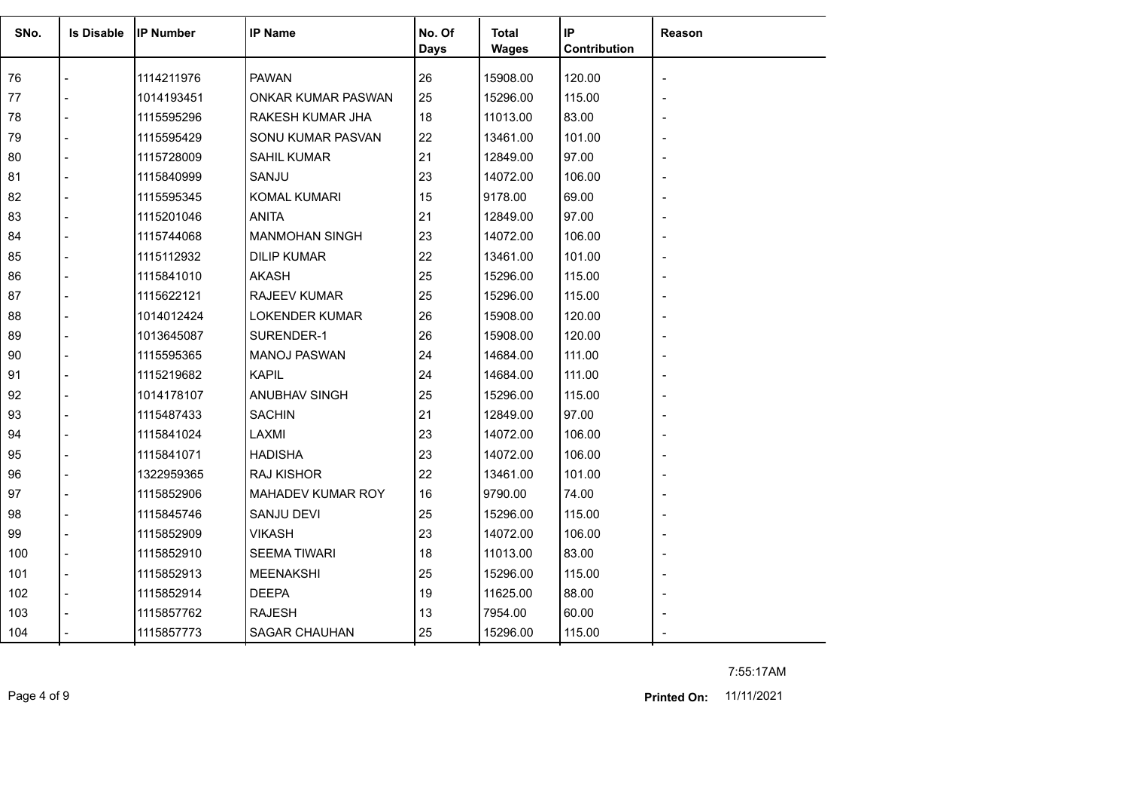| SNo. | <b>Is Disable</b> | <b>IIP Number</b> | <b>IP Name</b>           | No. Of<br>Days | Total<br><b>Wages</b> | IP<br>Contribution | Reason |
|------|-------------------|-------------------|--------------------------|----------------|-----------------------|--------------------|--------|
| 76   |                   | 1114211976        | <b>PAWAN</b>             | 26             | 15908.00              | 120.00             |        |
| 77   |                   | 1014193451        | ONKAR KUMAR PASWAN       | 25             | 15296.00              | 115.00             |        |
| 78   |                   | 1115595296        | RAKESH KUMAR JHA         | 18             | 11013.00              | 83.00              |        |
| 79   |                   | 1115595429        | SONU KUMAR PASVAN        | 22             | 13461.00              | 101.00             |        |
| 80   |                   | 1115728009        | <b>SAHIL KUMAR</b>       | 21             | 12849.00              | 97.00              |        |
| 81   |                   | 1115840999        | SANJU                    | 23             | 14072.00              | 106.00             |        |
| 82   |                   | 1115595345        | <b>KOMAL KUMARI</b>      | 15             | 9178.00               | 69.00              |        |
| 83   |                   | 1115201046        | <b>ANITA</b>             | 21             | 12849.00              | 97.00              |        |
| 84   |                   | 1115744068        | <b>MANMOHAN SINGH</b>    | 23             | 14072.00              | 106.00             |        |
| 85   |                   | 1115112932        | <b>DILIP KUMAR</b>       | 22             | 13461.00              | 101.00             |        |
| 86   |                   | 1115841010        | <b>AKASH</b>             | 25             | 15296.00              | 115.00             |        |
| 87   |                   | 1115622121        | <b>RAJEEV KUMAR</b>      | 25             | 15296.00              | 115.00             |        |
| 88   |                   | 1014012424        | LOKENDER KUMAR           | 26             | 15908.00              | 120.00             |        |
| 89   |                   | 1013645087        | SURENDER-1               | 26             | 15908.00              | 120.00             |        |
| 90   |                   | 1115595365        | <b>MANOJ PASWAN</b>      | 24             | 14684.00              | 111.00             |        |
| 91   |                   | 1115219682        | <b>KAPIL</b>             | 24             | 14684.00              | 111.00             |        |
| 92   |                   | 1014178107        | ANUBHAV SINGH            | 25             | 15296.00              | 115.00             |        |
| 93   |                   | 1115487433        | <b>SACHIN</b>            | 21             | 12849.00              | 97.00              |        |
| 94   |                   | 1115841024        | LAXMI                    | 23             | 14072.00              | 106.00             |        |
| 95   |                   | 1115841071        | <b>HADISHA</b>           | 23             | 14072.00              | 106.00             |        |
| 96   |                   | 1322959365        | <b>RAJ KISHOR</b>        | 22             | 13461.00              | 101.00             |        |
| 97   |                   | 1115852906        | <b>MAHADEV KUMAR ROY</b> | 16             | 9790.00               | 74.00              |        |
| 98   |                   | 1115845746        | <b>SANJU DEVI</b>        | 25             | 15296.00              | 115.00             |        |
| 99   |                   | 1115852909        | <b>VIKASH</b>            | 23             | 14072.00              | 106.00             |        |
| 100  |                   | 1115852910        | <b>SEEMA TIWARI</b>      | 18             | 11013.00              | 83.00              |        |
| 101  | $\overline{a}$    | 1115852913        | <b>MEENAKSHI</b>         | 25             | 15296.00              | 115.00             |        |
| 102  |                   | 1115852914        | <b>DEEPA</b>             | 19             | 11625.00              | 88.00              |        |
| 103  |                   | 1115857762        | <b>RAJESH</b>            | 13             | 7954.00               | 60.00              |        |
| 104  |                   | 1115857773        | <b>SAGAR CHAUHAN</b>     | 25             | 15296.00              | 115.00             |        |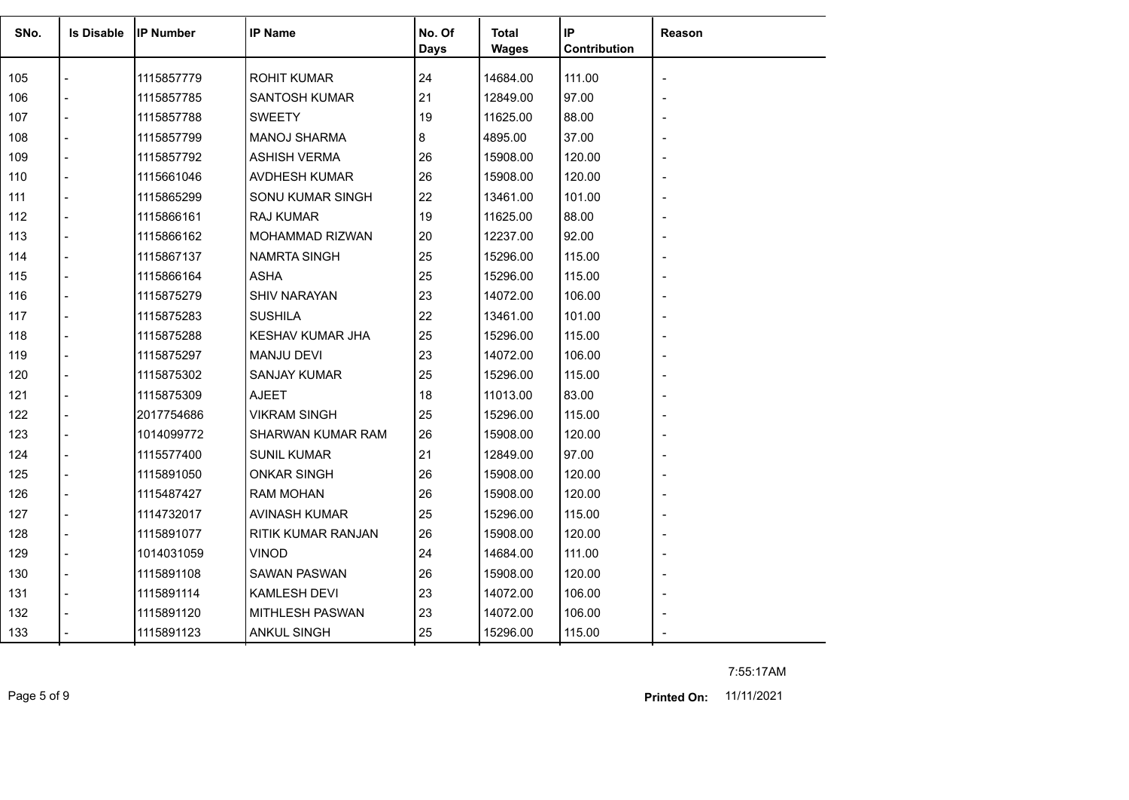| SNo. | <b>Is Disable</b> | <b>IP Number</b> | <b>IP Name</b>          | No. Of<br><b>Days</b> | <b>Total</b><br><b>Wages</b> | IP<br>Contribution | Reason |
|------|-------------------|------------------|-------------------------|-----------------------|------------------------------|--------------------|--------|
| 105  |                   | 1115857779       | <b>ROHIT KUMAR</b>      | 24                    | 14684.00                     | 111.00             |        |
| 106  |                   | 1115857785       | <b>SANTOSH KUMAR</b>    | 21                    | 12849.00                     | 97.00              |        |
| 107  |                   | 1115857788       | <b>SWEETY</b>           | 19                    | 11625.00                     | 88.00              |        |
| 108  |                   | 1115857799       | <b>MANOJ SHARMA</b>     | 8                     | 4895.00                      | 37.00              |        |
| 109  |                   | 1115857792       | <b>ASHISH VERMA</b>     | 26                    | 15908.00                     | 120.00             |        |
| 110  |                   | 1115661046       | AVDHESH KUMAR           | 26                    | 15908.00                     | 120.00             |        |
| 111  |                   | 1115865299       | SONU KUMAR SINGH        | 22                    | 13461.00                     | 101.00             |        |
| 112  | $\overline{a}$    | 1115866161       | RAJ KUMAR               | 19                    | 11625.00                     | 88.00              |        |
| 113  |                   | 1115866162       | <b>MOHAMMAD RIZWAN</b>  | 20                    | 12237.00                     | 92.00              |        |
| 114  |                   | 1115867137       | <b>NAMRTA SINGH</b>     | 25                    | 15296.00                     | 115.00             |        |
| 115  |                   | 1115866164       | <b>ASHA</b>             | 25                    | 15296.00                     | 115.00             |        |
| 116  |                   | 1115875279       | <b>SHIV NARAYAN</b>     | 23                    | 14072.00                     | 106.00             |        |
| 117  |                   | 1115875283       | <b>SUSHILA</b>          | 22                    | 13461.00                     | 101.00             |        |
| 118  |                   | 1115875288       | <b>KESHAV KUMAR JHA</b> | 25                    | 15296.00                     | 115.00             |        |
| 119  |                   | 1115875297       | <b>MANJU DEVI</b>       | 23                    | 14072.00                     | 106.00             |        |
| 120  |                   | 1115875302       | <b>SANJAY KUMAR</b>     | 25                    | 15296.00                     | 115.00             |        |
| 121  |                   | 1115875309       | <b>AJEET</b>            | 18                    | 11013.00                     | 83.00              |        |
| 122  |                   | 2017754686       | <b>VIKRAM SINGH</b>     | 25                    | 15296.00                     | 115.00             |        |
| 123  |                   | 1014099772       | SHARWAN KUMAR RAM       | 26                    | 15908.00                     | 120.00             |        |
| 124  |                   | 1115577400       | <b>SUNIL KUMAR</b>      | 21                    | 12849.00                     | 97.00              |        |
| 125  |                   | 1115891050       | <b>ONKAR SINGH</b>      | 26                    | 15908.00                     | 120.00             |        |
| 126  |                   | 1115487427       | <b>RAM MOHAN</b>        | 26                    | 15908.00                     | 120.00             |        |
| 127  |                   | 1114732017       | AVINASH KUMAR           | 25                    | 15296.00                     | 115.00             |        |
| 128  |                   | 1115891077       | RITIK KUMAR RANJAN      | 26                    | 15908.00                     | 120.00             |        |
| 129  | $\overline{a}$    | 1014031059       | <b>VINOD</b>            | 24                    | 14684.00                     | 111.00             |        |
| 130  | $\overline{a}$    | 1115891108       | <b>SAWAN PASWAN</b>     | 26                    | 15908.00                     | 120.00             |        |
| 131  |                   | 1115891114       | <b>KAMLESH DEVI</b>     | 23                    | 14072.00                     | 106.00             |        |
| 132  |                   | 1115891120       | MITHLESH PASWAN         | 23                    | 14072.00                     | 106.00             |        |
| 133  |                   | 1115891123       | <b>ANKUL SINGH</b>      | 25                    | 15296.00                     | 115.00             |        |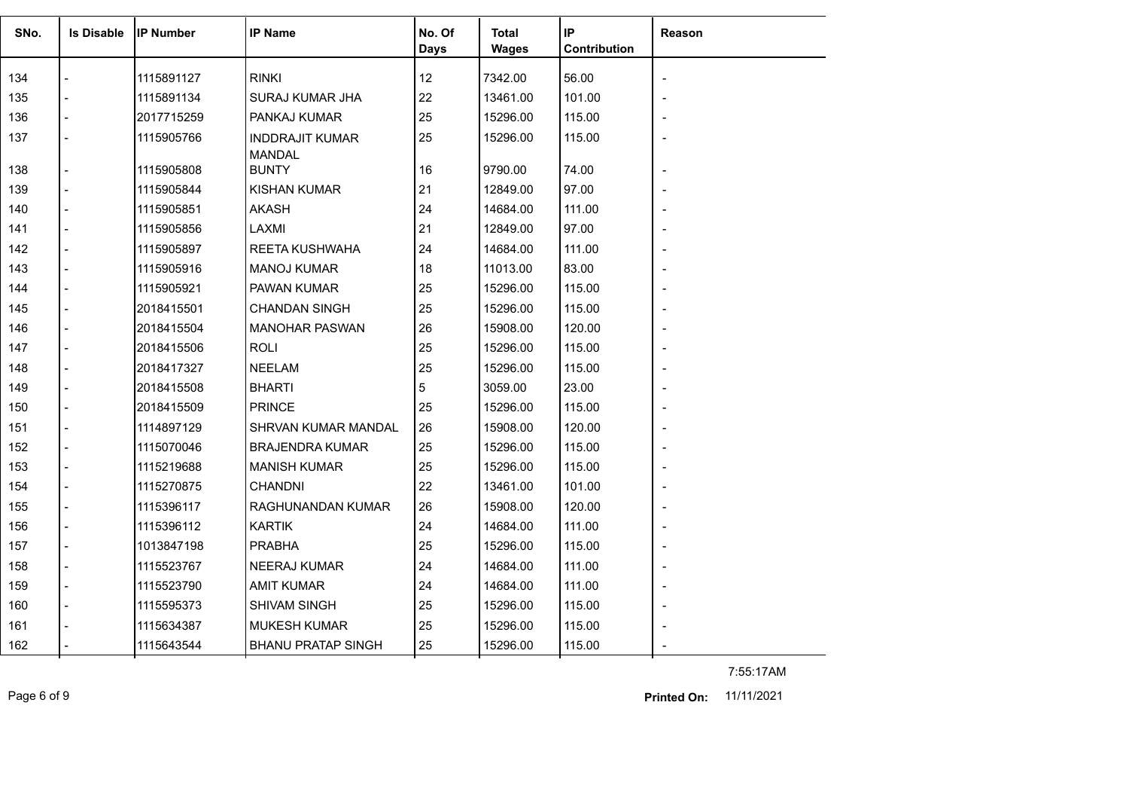| SNo. | <b>Is Disable</b> | <b>IP Number</b> | <b>IP Name</b>                          | No. Of | Total        | IP           | <b>Reason</b> |
|------|-------------------|------------------|-----------------------------------------|--------|--------------|--------------|---------------|
|      |                   |                  |                                         | Days   | <b>Wages</b> | Contribution |               |
| 134  |                   | 1115891127       | <b>RINKI</b>                            | 12     | 7342.00      | 56.00        |               |
| 135  |                   | 1115891134       | SURAJ KUMAR JHA                         | 22     | 13461.00     | 101.00       |               |
| 136  |                   | 2017715259       | PANKAJ KUMAR                            | 25     | 15296.00     | 115.00       |               |
| 137  |                   | 1115905766       | <b>INDDRAJIT KUMAR</b><br><b>MANDAL</b> | 25     | 15296.00     | 115.00       |               |
| 138  |                   | 1115905808       | <b>BUNTY</b>                            | 16     | 9790.00      | 74.00        |               |
| 139  |                   | 1115905844       | <b>KISHAN KUMAR</b>                     | 21     | 12849.00     | 97.00        |               |
| 140  |                   | 1115905851       | <b>AKASH</b>                            | 24     | 14684.00     | 111.00       |               |
| 141  |                   | 1115905856       | LAXMI                                   | 21     | 12849.00     | 97.00        |               |
| 142  |                   | 1115905897       | REETA KUSHWAHA                          | 24     | 14684.00     | 111.00       |               |
| 143  |                   | 1115905916       | <b>MANOJ KUMAR</b>                      | 18     | 11013.00     | 83.00        |               |
| 144  |                   | 1115905921       | PAWAN KUMAR                             | 25     | 15296.00     | 115.00       |               |
| 145  |                   | 2018415501       | <b>CHANDAN SINGH</b>                    | 25     | 15296.00     | 115.00       |               |
| 146  |                   | 2018415504       | <b>MANOHAR PASWAN</b>                   | 26     | 15908.00     | 120.00       |               |
| 147  |                   | 2018415506       | <b>ROLI</b>                             | 25     | 15296.00     | 115.00       |               |
| 148  |                   | 2018417327       | <b>NEELAM</b>                           | 25     | 15296.00     | 115.00       |               |
| 149  |                   | 2018415508       | <b>BHARTI</b>                           | 5      | 3059.00      | 23.00        |               |
| 150  |                   | 2018415509       | <b>PRINCE</b>                           | 25     | 15296.00     | 115.00       |               |
| 151  |                   | 1114897129       | SHRVAN KUMAR MANDAL                     | 26     | 15908.00     | 120.00       |               |
| 152  |                   | 1115070046       | <b>BRAJENDRA KUMAR</b>                  | 25     | 15296.00     | 115.00       |               |
| 153  |                   | 1115219688       | <b>MANISH KUMAR</b>                     | 25     | 15296.00     | 115.00       |               |
| 154  |                   | 1115270875       | <b>CHANDNI</b>                          | 22     | 13461.00     | 101.00       |               |
| 155  |                   | 1115396117       | RAGHUNANDAN KUMAR                       | 26     | 15908.00     | 120.00       |               |
| 156  |                   | 1115396112       | <b>KARTIK</b>                           | 24     | 14684.00     | 111.00       |               |
| 157  |                   | 1013847198       | <b>PRABHA</b>                           | 25     | 15296.00     | 115.00       |               |
| 158  |                   | 1115523767       | NEERAJ KUMAR                            | 24     | 14684.00     | 111.00       |               |
| 159  |                   | 1115523790       | <b>AMIT KUMAR</b>                       | 24     | 14684.00     | 111.00       |               |
| 160  |                   | 1115595373       | SHIVAM SINGH                            | 25     | 15296.00     | 115.00       |               |
| 161  |                   | 1115634387       | <b>MUKESH KUMAR</b>                     | 25     | 15296.00     | 115.00       |               |
| 162  |                   | 1115643544       | <b>BHANU PRATAP SINGH</b>               | 25     | 15296.00     | 115.00       |               |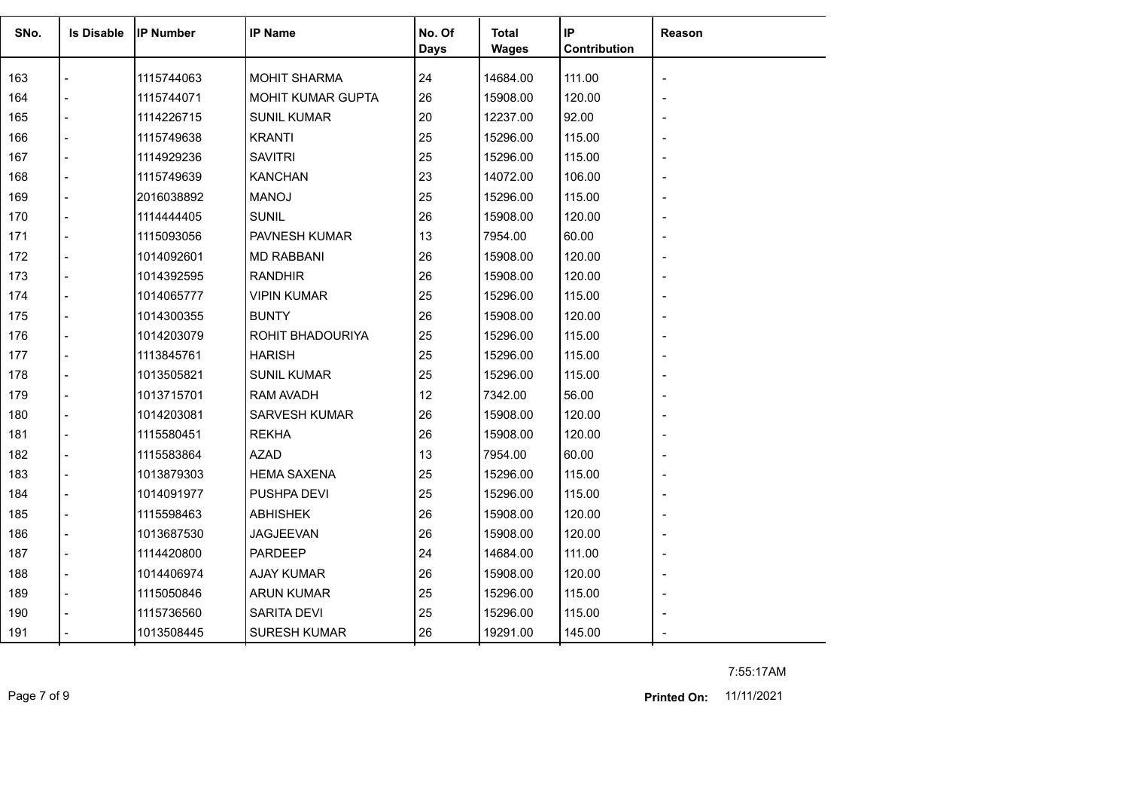| SNo. | <b>Is Disable</b> | <b>IP Number</b> | <b>IP Name</b>      | No. Of<br><b>Days</b> | <b>Total</b><br><b>Wages</b> | IP<br>Contribution | Reason |
|------|-------------------|------------------|---------------------|-----------------------|------------------------------|--------------------|--------|
| 163  |                   | 1115744063       | <b>MOHIT SHARMA</b> | 24                    | 14684.00                     | 111.00             |        |
| 164  |                   | 1115744071       | MOHIT KUMAR GUPTA   | 26                    | 15908.00                     | 120.00             |        |
| 165  |                   | 1114226715       | <b>SUNIL KUMAR</b>  | 20                    | 12237.00                     | 92.00              |        |
| 166  |                   | 1115749638       | <b>KRANTI</b>       | 25                    | 15296.00                     | 115.00             |        |
| 167  |                   | 1114929236       | <b>SAVITRI</b>      | 25                    | 15296.00                     | 115.00             |        |
| 168  |                   | 1115749639       | <b>KANCHAN</b>      | 23                    | 14072.00                     | 106.00             |        |
| 169  |                   | 2016038892       | <b>MANOJ</b>        | 25                    | 15296.00                     | 115.00             |        |
| 170  | $\overline{a}$    | 1114444405       | <b>SUNIL</b>        | 26                    | 15908.00                     | 120.00             |        |
| 171  | $\blacksquare$    | 1115093056       | PAVNESH KUMAR       | 13                    | 7954.00                      | 60.00              |        |
| 172  |                   | 1014092601       | <b>MD RABBANI</b>   | 26                    | 15908.00                     | 120.00             |        |
| 173  |                   | 1014392595       | <b>RANDHIR</b>      | 26                    | 15908.00                     | 120.00             |        |
| 174  |                   | 1014065777       | <b>VIPIN KUMAR</b>  | 25                    | 15296.00                     | 115.00             |        |
| 175  |                   | 1014300355       | <b>BUNTY</b>        | 26                    | 15908.00                     | 120.00             |        |
| 176  |                   | 1014203079       | ROHIT BHADOURIYA    | 25                    | 15296.00                     | 115.00             |        |
| 177  |                   | 1113845761       | <b>HARISH</b>       | 25                    | 15296.00                     | 115.00             |        |
| 178  |                   | 1013505821       | <b>SUNIL KUMAR</b>  | 25                    | 15296.00                     | 115.00             |        |
| 179  |                   | 1013715701       | <b>RAM AVADH</b>    | 12                    | 7342.00                      | 56.00              |        |
| 180  |                   | 1014203081       | SARVESH KUMAR       | 26                    | 15908.00                     | 120.00             |        |
| 181  |                   | 1115580451       | <b>REKHA</b>        | 26                    | 15908.00                     | 120.00             |        |
| 182  |                   | 1115583864       | <b>AZAD</b>         | 13                    | 7954.00                      | 60.00              |        |
| 183  |                   | 1013879303       | <b>HEMA SAXENA</b>  | 25                    | 15296.00                     | 115.00             |        |
| 184  |                   | 1014091977       | PUSHPA DEVI         | 25                    | 15296.00                     | 115.00             |        |
| 185  |                   | 1115598463       | <b>ABHISHEK</b>     | 26                    | 15908.00                     | 120.00             |        |
| 186  |                   | 1013687530       | JAGJEEVAN           | 26                    | 15908.00                     | 120.00             |        |
| 187  |                   | 1114420800       | <b>PARDEEP</b>      | 24                    | 14684.00                     | 111.00             |        |
| 188  | $\overline{a}$    | 1014406974       | <b>AJAY KUMAR</b>   | 26                    | 15908.00                     | 120.00             |        |
| 189  |                   | 1115050846       | <b>ARUN KUMAR</b>   | 25                    | 15296.00                     | 115.00             |        |
| 190  |                   | 1115736560       | <b>SARITA DEVI</b>  | 25                    | 15296.00                     | 115.00             |        |
| 191  |                   | 1013508445       | <b>SURESH KUMAR</b> | 26                    | 19291.00                     | 145.00             |        |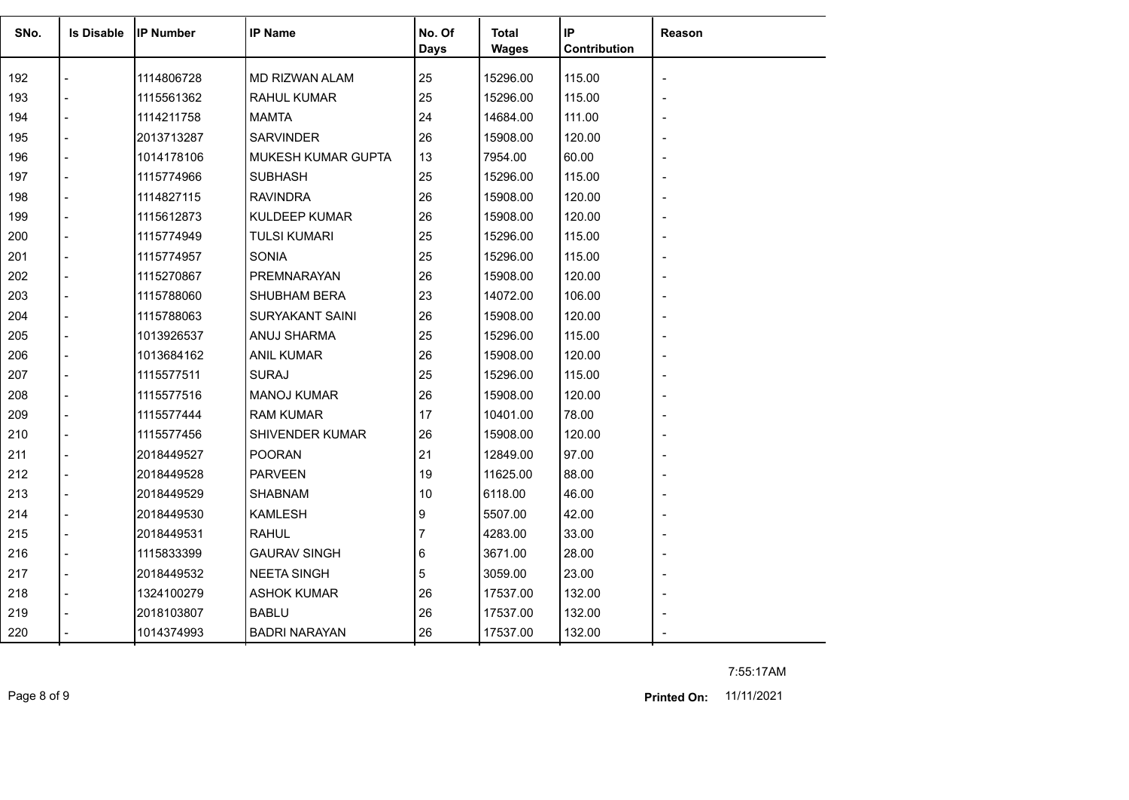| SNo. | <b>Is Disable</b> | <b>IP Number</b> | <b>IP Name</b>         | No. Of<br>Days | <b>Total</b><br><b>Wages</b> | IP<br>Contribution | Reason |
|------|-------------------|------------------|------------------------|----------------|------------------------------|--------------------|--------|
| 192  |                   | 1114806728       | MD RIZWAN ALAM         | 25             | 15296.00                     | 115.00             |        |
| 193  |                   | 1115561362       | <b>RAHUL KUMAR</b>     | 25             | 15296.00                     | 115.00             |        |
| 194  |                   | 1114211758       | <b>MAMTA</b>           | 24             | 14684.00                     | 111.00             |        |
| 195  |                   | 2013713287       | <b>SARVINDER</b>       | 26             | 15908.00                     | 120.00             |        |
| 196  |                   | 1014178106       | MUKESH KUMAR GUPTA     | 13             | 7954.00                      | 60.00              |        |
| 197  |                   | 1115774966       | <b>SUBHASH</b>         | 25             | 15296.00                     | 115.00             |        |
| 198  |                   | 1114827115       | <b>RAVINDRA</b>        | 26             | 15908.00                     | 120.00             |        |
| 199  |                   | 1115612873       | <b>KULDEEP KUMAR</b>   | 26             | 15908.00                     | 120.00             |        |
| 200  |                   | 1115774949       | <b>TULSI KUMARI</b>    | 25             | 15296.00                     | 115.00             |        |
| 201  |                   | 1115774957       | <b>SONIA</b>           | 25             | 15296.00                     | 115.00             |        |
| 202  |                   | 1115270867       | PREMNARAYAN            | 26             | 15908.00                     | 120.00             |        |
| 203  |                   | 1115788060       | <b>SHUBHAM BERA</b>    | 23             | 14072.00                     | 106.00             |        |
| 204  |                   | 1115788063       | <b>SURYAKANT SAINI</b> | 26             | 15908.00                     | 120.00             |        |
| 205  |                   | 1013926537       | ANUJ SHARMA            | 25             | 15296.00                     | 115.00             |        |
| 206  |                   | 1013684162       | <b>ANIL KUMAR</b>      | 26             | 15908.00                     | 120.00             |        |
| 207  |                   | 1115577511       | <b>SURAJ</b>           | 25             | 15296.00                     | 115.00             |        |
| 208  |                   | 1115577516       | <b>MANOJ KUMAR</b>     | 26             | 15908.00                     | 120.00             |        |
| 209  |                   | 1115577444       | <b>RAM KUMAR</b>       | 17             | 10401.00                     | 78.00              |        |
| 210  |                   | 1115577456       | SHIVENDER KUMAR        | 26             | 15908.00                     | 120.00             |        |
| 211  |                   | 2018449527       | <b>POORAN</b>          | 21             | 12849.00                     | 97.00              |        |
| 212  |                   | 2018449528       | <b>PARVEEN</b>         | 19             | 11625.00                     | 88.00              |        |
| 213  |                   | 2018449529       | SHABNAM                | 10             | 6118.00                      | 46.00              |        |
| 214  |                   | 2018449530       | <b>KAMLESH</b>         | 9              | 5507.00                      | 42.00              |        |
| 215  |                   | 2018449531       | <b>RAHUL</b>           | 7              | 4283.00                      | 33.00              |        |
| 216  |                   | 1115833399       | <b>GAURAV SINGH</b>    | 6              | 3671.00                      | 28.00              |        |
| 217  | $\overline{a}$    | 2018449532       | <b>NEETA SINGH</b>     | 5              | 3059.00                      | 23.00              |        |
| 218  |                   | 1324100279       | <b>ASHOK KUMAR</b>     | 26             | 17537.00                     | 132.00             |        |
| 219  |                   | 2018103807       | <b>BABLU</b>           | 26             | 17537.00                     | 132.00             |        |
| 220  |                   | 1014374993       | <b>BADRI NARAYAN</b>   | 26             | 17537.00                     | 132.00             |        |